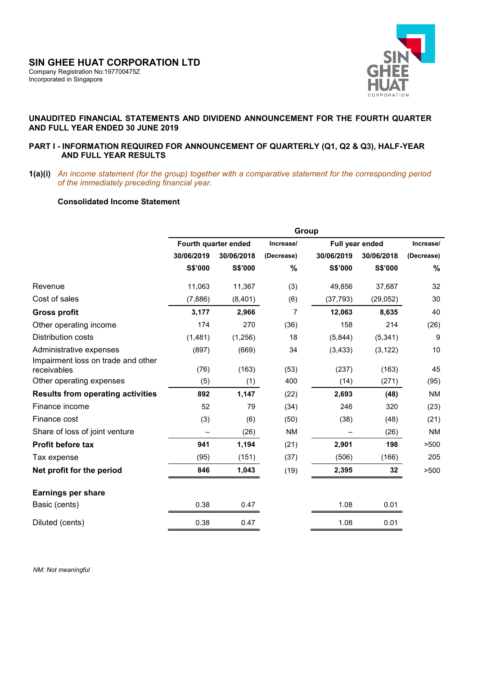

# **UNAUDITED FINANCIAL STATEMENTS AND DIVIDEND ANNOUNCEMENT FOR THE FOURTH QUARTER AND FULL YEAR ENDED 30 JUNE 2019**

## **PART I - INFORMATION REQUIRED FOR ANNOUNCEMENT OF QUARTERLY (Q1, Q2 & Q3), HALF-YEAR AND FULL YEAR RESULTS**

**1(a)(i)** *An income statement (for the group) together with a comparative statement for the corresponding period of the immediately preceding financial year.* 

# **Consolidated Income Statement**

|                                                   | Group      |                      |            |                 |            |                  |  |
|---------------------------------------------------|------------|----------------------|------------|-----------------|------------|------------------|--|
|                                                   |            | Fourth quarter ended | Increase/  | Full year ended |            | Increase/        |  |
|                                                   | 30/06/2019 | 30/06/2018           | (Decrease) | 30/06/2019      | 30/06/2018 | (Decrease)       |  |
|                                                   | S\$'000    | S\$'000              | $\%$       | S\$'000         | S\$'000    | $\%$             |  |
| Revenue                                           | 11,063     | 11,367               | (3)        | 49,856          | 37,687     | 32               |  |
| Cost of sales                                     | (7,886)    | (8,401)              | (6)        | (37, 793)       | (29, 052)  | 30               |  |
| <b>Gross profit</b>                               | 3,177      | 2,966                | 7          | 12,063          | 8,635      | 40               |  |
| Other operating income                            | 174        | 270                  | (36)       | 158             | 214        | (26)             |  |
| Distribution costs                                | (1,481)    | (1,256)              | 18         | (5,844)         | (5, 341)   | $\boldsymbol{9}$ |  |
| Administrative expenses                           | (897)      | (669)                | 34         | (3, 433)        | (3, 122)   | 10               |  |
| Impairment loss on trade and other<br>receivables | (76)       | (163)                | (53)       | (237)           | (163)      | 45               |  |
| Other operating expenses                          | (5)        | (1)                  | 400        | (14)            | (271)      | (95)             |  |
| <b>Results from operating activities</b>          | 892        | 1,147                | (22)       | 2,693           | (48)       | <b>NM</b>        |  |
| Finance income                                    | 52         | 79                   | (34)       | 246             | 320        | (23)             |  |
| Finance cost                                      | (3)        | (6)                  | (50)       | (38)            | (48)       | (21)             |  |
| Share of loss of joint venture                    |            | (26)                 | <b>NM</b>  |                 | (26)       | <b>NM</b>        |  |
| Profit before tax                                 | 941        | 1,194                | (21)       | 2,901           | 198        | >500             |  |
| Tax expense                                       | (95)       | (151)                | (37)       | (506)           | (166)      | 205              |  |
| Net profit for the period                         | 846        | 1,043                | (19)       | 2,395           | 32         | >500             |  |
| <b>Earnings per share</b>                         |            |                      |            |                 |            |                  |  |
| Basic (cents)                                     | 0.38       | 0.47                 |            | 1.08            | 0.01       |                  |  |
| Diluted (cents)                                   | 0.38       | 0.47                 |            | 1.08            | 0.01       |                  |  |

 *NM: Not meaningful*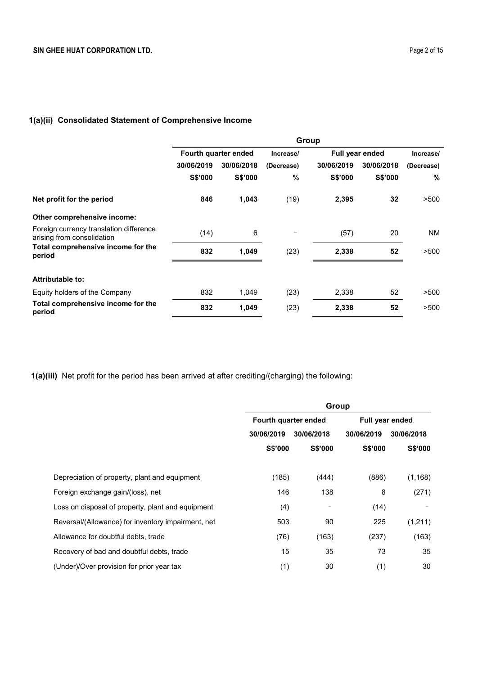# **1(a)(ii) Consolidated Statement of Comprehensive Income**

|                                                                       | Group      |                      |            |                 |            |            |
|-----------------------------------------------------------------------|------------|----------------------|------------|-----------------|------------|------------|
|                                                                       |            | Fourth quarter ended |            | Full year ended |            | Increase/  |
|                                                                       | 30/06/2019 | 30/06/2018           | (Decrease) | 30/06/2019      | 30/06/2018 | (Decrease) |
|                                                                       | S\$'000    | S\$'000              | $\%$       | S\$'000         | S\$'000    | %          |
| Net profit for the period                                             | 846        | 1,043                | (19)       | 2,395           | 32         | >500       |
| Other comprehensive income:                                           |            |                      |            |                 |            |            |
| Foreign currency translation difference<br>arising from consolidation | (14)       | 6                    |            | (57)            | 20         | NM.        |
| Total comprehensive income for the<br>period                          | 832        | 1,049                | (23)       | 2,338           | 52         | >500       |
| <b>Attributable to:</b>                                               |            |                      |            |                 |            |            |
| Equity holders of the Company                                         | 832        | 1,049                | (23)       | 2,338           | 52         | >500       |
| Total comprehensive income for the<br>period                          | 832        | 1,049                | (23)       | 2,338           | 52         | >500       |

**1(a)(iii)** Net profit for the period has been arrived at after crediting/(charging) the following:

|                                                    | Group                |                 |                 |            |  |
|----------------------------------------------------|----------------------|-----------------|-----------------|------------|--|
|                                                    | Fourth quarter ended |                 | Full year ended |            |  |
|                                                    | 30/06/2019           | 30/06/2018      | 30/06/2019      | 30/06/2018 |  |
|                                                    | S\$'000              | S\$'000         | S\$'000         | S\$'000    |  |
| Depreciation of property, plant and equipment      | (185)                | (444)           | (886)           | (1, 168)   |  |
| Foreign exchange gain/(loss), net                  | 146                  | 138             | 8               | (271)      |  |
| Loss on disposal of property, plant and equipment  | (4)                  | $\qquad \qquad$ | (14)            |            |  |
| Reversal/(Allowance) for inventory impairment, net | 503                  | 90              | 225             | (1,211)    |  |
| Allowance for doubtful debts, trade                | (76)                 | (163)           | (237)           | (163)      |  |
| Recovery of bad and doubtful debts, trade          | 15                   | 35              | 73              | 35         |  |
| (Under)/Over provision for prior year tax          | (1)                  | 30              | (1)             | 30         |  |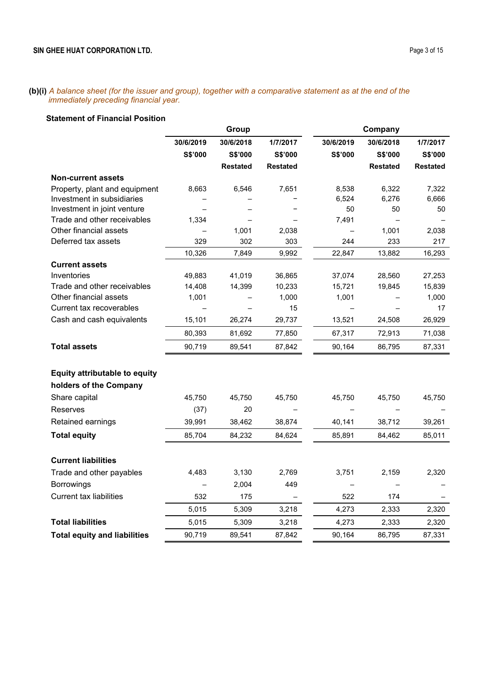**(b)(i)** *A balance sheet (for the issuer and group), together with a comparative statement as at the end of the immediately preceding financial year.*

# **Statement of Financial Position**

|                                      | Group     |                 | Company         |           |                 |                 |
|--------------------------------------|-----------|-----------------|-----------------|-----------|-----------------|-----------------|
|                                      | 30/6/2019 | 30/6/2018       | 1/7/2017        | 30/6/2019 | 30/6/2018       | 1/7/2017        |
|                                      | S\$'000   | S\$'000         | S\$'000         | S\$'000   | S\$'000         | S\$'000         |
|                                      |           | <b>Restated</b> | <b>Restated</b> |           | <b>Restated</b> | <b>Restated</b> |
| <b>Non-current assets</b>            |           |                 |                 |           |                 |                 |
| Property, plant and equipment        | 8,663     | 6,546           | 7,651           | 8,538     | 6,322           | 7,322           |
| Investment in subsidiaries           |           |                 |                 | 6,524     | 6,276           | 6,666           |
| Investment in joint venture          | —         |                 |                 | 50        | 50              | 50              |
| Trade and other receivables          | 1,334     |                 |                 | 7,491     |                 |                 |
| Other financial assets               |           | 1,001           | 2,038           |           | 1,001           | 2,038           |
| Deferred tax assets                  | 329       | 302             | 303             | 244       | 233             | 217             |
|                                      | 10,326    | 7,849           | 9,992           | 22,847    | 13,882          | 16,293          |
| <b>Current assets</b>                |           |                 |                 |           |                 |                 |
| Inventories                          | 49,883    | 41,019          | 36,865          | 37,074    | 28,560          | 27,253          |
| Trade and other receivables          | 14,408    | 14,399          | 10,233          | 15,721    | 19,845          | 15,839          |
| Other financial assets               | 1,001     |                 | 1,000           | 1,001     |                 | 1,000           |
| Current tax recoverables             |           |                 | 15              |           |                 | 17              |
| Cash and cash equivalents            | 15,101    | 26,274          | 29,737          | 13,521    | 24,508          | 26,929          |
|                                      | 80,393    | 81,692          | 77,850          | 67,317    | 72,913          | 71,038          |
| <b>Total assets</b>                  | 90,719    | 89,541          | 87,842          | 90,164    | 86,795          | 87,331          |
|                                      |           |                 |                 |           |                 |                 |
| <b>Equity attributable to equity</b> |           |                 |                 |           |                 |                 |
| holders of the Company               |           |                 |                 |           |                 |                 |
| Share capital                        | 45,750    | 45,750          | 45,750          | 45,750    | 45,750          | 45,750          |
| Reserves                             | (37)      | 20              |                 |           |                 |                 |
| Retained earnings                    | 39,991    | 38,462          | 38,874          | 40,141    | 38,712          | 39,261          |
| <b>Total equity</b>                  | 85,704    | 84,232          | 84,624          | 85,891    | 84,462          | 85,011          |
| <b>Current liabilities</b>           |           |                 |                 |           |                 |                 |
| Trade and other payables             | 4,483     | 3,130           | 2,769           | 3,751     | 2,159           | 2,320           |
|                                      |           |                 |                 |           |                 |                 |
| <b>Borrowings</b>                    |           | 2,004           | 449             |           |                 |                 |
| <b>Current tax liabilities</b>       | 532       | 175             |                 | 522       | 174             |                 |
|                                      | 5,015     | 5,309           | 3,218           | 4,273     | 2,333           | 2,320           |
| <b>Total liabilities</b>             | 5,015     | 5,309           | 3,218           | 4,273     | 2,333           | 2,320           |
| <b>Total equity and liabilities</b>  | 90,719    | 89,541          | 87,842          | 90,164    | 86,795          | 87,331          |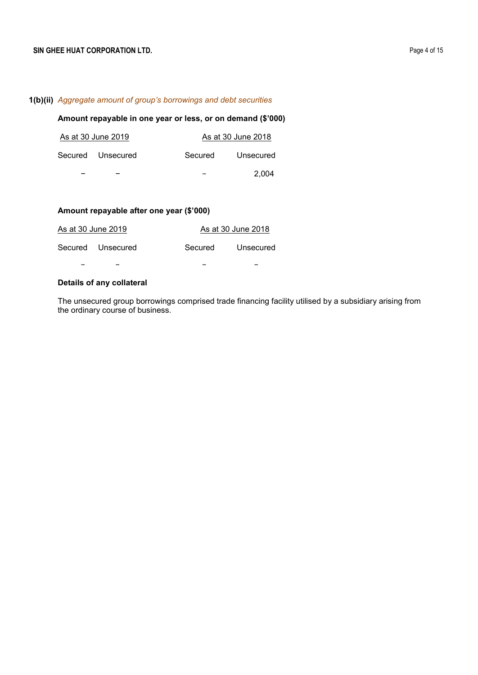# **1(b)(ii)** *Aggregate amount of group's borrowings and debt securities*

# **Amount repayable in one year or less, or on demand (\$'000)**

| As at 30 June 2019 |         | As at 30 June 2018 |
|--------------------|---------|--------------------|
| Secured Unsecured  | Secured | Unsecured          |
|                    |         | 2.004              |

# **Amount repayable after one year (\$'000)**

| As at 30 June 2019 |         | As at 30 June 2018 |
|--------------------|---------|--------------------|
| Secured Unsecured  | Secured | Unsecured          |
| -                  |         |                    |

# **Details of any collateral**

The unsecured group borrowings comprised trade financing facility utilised by a subsidiary arising from the ordinary course of business.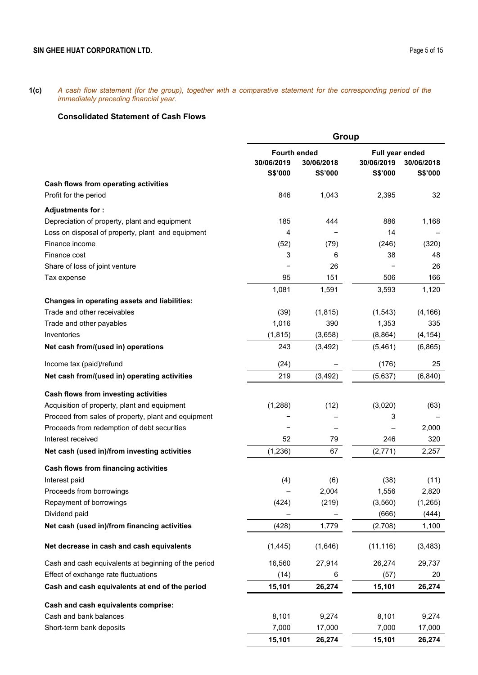**1(c)** *A cash flow statement (for the group), together with a comparative statement for the corresponding period of the immediately preceding financial year.*

# **Consolidated Statement of Cash Flows**

|                                                      | Group               |            |                 |             |  |
|------------------------------------------------------|---------------------|------------|-----------------|-------------|--|
|                                                      | <b>Fourth ended</b> |            | Full year ended |             |  |
|                                                      | 30/06/2019          | 30/06/2018 | 30/06/2019      | 30/06/2018  |  |
| Cash flows from operating activities                 | S\$'000             | S\$'000    | S\$'000         | S\$'000     |  |
| Profit for the period                                | 846                 | 1,043      | 2,395           | 32          |  |
|                                                      |                     |            |                 |             |  |
| Adjustments for:                                     |                     |            |                 |             |  |
| Depreciation of property, plant and equipment        | 185                 | 444        | 886             | 1,168       |  |
| Loss on disposal of property, plant and equipment    | 4                   |            | 14              |             |  |
| Finance income<br>Finance cost                       | (52)<br>3           | (79)<br>6  | (246)<br>38     | (320)<br>48 |  |
|                                                      |                     | 26         |                 | 26          |  |
| Share of loss of joint venture<br>Tax expense        | 95                  | 151        | 506             | 166         |  |
|                                                      | 1,081               | 1,591      | 3,593           | 1,120       |  |
| Changes in operating assets and liabilities:         |                     |            |                 |             |  |
| Trade and other receivables                          | (39)                | (1, 815)   | (1, 543)        | (4, 166)    |  |
| Trade and other payables                             | 1,016               | 390        | 1,353           | 335         |  |
| Inventories                                          | (1, 815)            | (3,658)    | (8, 864)        | (4, 154)    |  |
| Net cash from/(used in) operations                   | 243                 | (3, 492)   | (5,461)         | (6, 865)    |  |
|                                                      |                     |            |                 |             |  |
| Income tax (paid)/refund                             | (24)                |            | (176)           | 25          |  |
| Net cash from/(used in) operating activities         | 219                 | (3, 492)   | (5,637)         | (6, 840)    |  |
| Cash flows from investing activities                 |                     |            |                 |             |  |
| Acquisition of property, plant and equipment         | (1, 288)            | (12)       | (3,020)         | (63)        |  |
| Proceed from sales of property, plant and equipment  |                     |            | 3               |             |  |
| Proceeds from redemption of debt securities          |                     |            |                 | 2,000       |  |
| Interest received                                    | 52                  | 79         | 246             | 320         |  |
| Net cash (used in)/from investing activities         | (1, 236)            | 67         | (2,771)         | 2,257       |  |
| Cash flows from financing activities                 |                     |            |                 |             |  |
| Interest paid                                        | (4)                 | (6)        | (38)            | (11)        |  |
| Proceeds from borrowings                             |                     | 2,004      | 1,556           | 2,820       |  |
| Repayment of borrowings                              | (424)               | (219)      | (3,560)         | (1,265)     |  |
| Dividend paid                                        |                     |            | (666)           | (444)       |  |
| Net cash (used in)/from financing activities         | (428)               | 1,779      | (2,708)         | 1,100       |  |
| Net decrease in cash and cash equivalents            | (1, 445)            | (1,646)    | (11, 116)       | (3, 483)    |  |
| Cash and cash equivalents at beginning of the period | 16,560              | 27,914     | 26,274          | 29,737      |  |
| Effect of exchange rate fluctuations                 | (14)                | 6          | (57)            | 20          |  |
| Cash and cash equivalents at end of the period       | 15,101              | 26,274     | 15,101          | 26,274      |  |
| Cash and cash equivalents comprise:                  |                     |            |                 |             |  |
| Cash and bank balances                               | 8,101               | 9,274      | 8,101           | 9,274       |  |
| Short-term bank deposits                             | 7,000               | 17,000     | 7,000           | 17,000      |  |
|                                                      | 15,101              | 26,274     | 15,101          | 26,274      |  |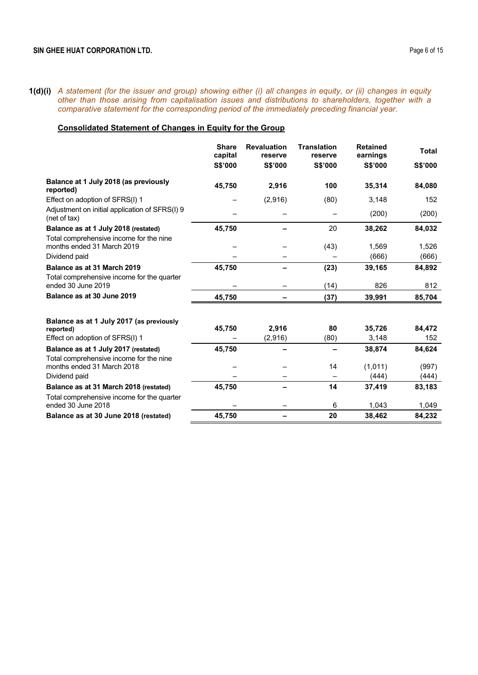**1(d)(i)** *A statement (for the issuer and group) showing either (i) all changes in equity, or (ii) changes in equity other than those arising from capitalisation issues and distributions to shareholders, together with a comparative statement for the corresponding period of the immediately preceding financial year.* 

# **Consolidated Statement of Changes in Equity for the Group**

|                                                                                      | <b>Share</b><br>capital | <b>Revaluation</b><br>reserve | <b>Translation</b><br>reserve | <b>Retained</b><br>earnings | <b>Total</b>  |
|--------------------------------------------------------------------------------------|-------------------------|-------------------------------|-------------------------------|-----------------------------|---------------|
|                                                                                      | S\$'000                 | S\$'000                       | S\$'000                       | S\$'000                     | S\$'000       |
| Balance at 1 July 2018 (as previously<br>reported)                                   | 45,750                  | 2,916                         | 100                           | 35,314                      | 84,080        |
| Effect on adoption of SFRS(I) 1                                                      |                         | (2,916)                       | (80)                          | 3,148                       | 152           |
| Adjustment on initial application of SFRS(I) 9<br>(net of tax)                       |                         |                               |                               | (200)                       | (200)         |
| Balance as at 1 July 2018 (restated)                                                 | 45,750                  |                               | 20                            | 38,262                      | 84,032        |
| Total comprehensive income for the nine<br>months ended 31 March 2019                |                         |                               | (43)                          | 1,569                       | 1,526         |
| Dividend paid                                                                        |                         |                               |                               | (666)                       | (666)         |
| Balance as at 31 March 2019                                                          | 45,750                  |                               | (23)                          | 39,165                      | 84,892        |
| Total comprehensive income for the quarter<br>ended 30 June 2019                     |                         |                               | (14)                          | 826                         | 812           |
| Balance as at 30 June 2019                                                           | 45,750                  |                               | (37)                          | 39,991                      | 85,704        |
| Balance as at 1 July 2017 (as previously                                             |                         |                               |                               |                             |               |
| reported)                                                                            | 45,750                  | 2,916                         | 80                            | 35,726                      | 84,472<br>152 |
| Effect on adoption of SFRS(I) 1                                                      |                         | (2,916)                       | (80)                          | 3,148                       |               |
| Balance as at 1 July 2017 (restated)<br>Total comprehensive income for the nine      | 45,750                  |                               |                               | 38,874                      | 84,624        |
| months ended 31 March 2018                                                           |                         |                               | 14                            | (1,011)                     | (997)         |
| Dividend paid                                                                        |                         |                               |                               | (444)                       | (444)         |
| Balance as at 31 March 2018 (restated)<br>Total comprehensive income for the quarter | 45,750                  |                               | 14                            | 37,419                      | 83,183        |
| ended 30 June 2018                                                                   |                         |                               | 6                             | 1,043                       | 1,049         |
| Balance as at 30 June 2018 (restated)                                                | 45,750                  |                               | 20                            | 38,462                      | 84,232        |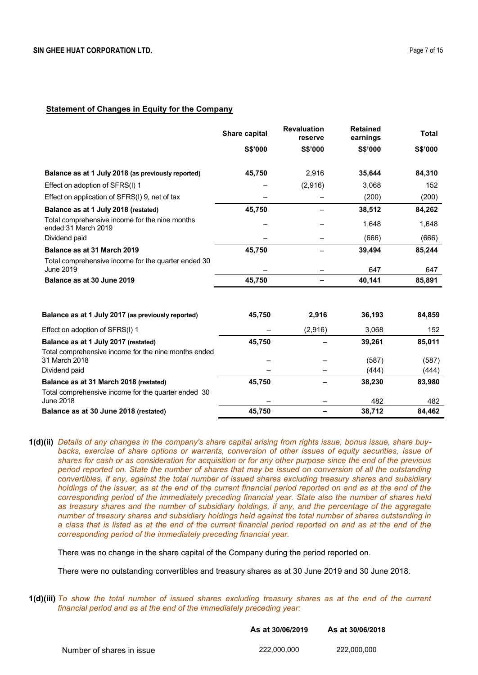## **Statement of Changes in Equity for the Company**

|                                                                       | Share capital | <b>Revaluation</b><br>reserve | <b>Retained</b><br>earnings | <b>Total</b> |
|-----------------------------------------------------------------------|---------------|-------------------------------|-----------------------------|--------------|
|                                                                       | S\$'000       | S\$'000                       | S\$'000                     | S\$'000      |
| Balance as at 1 July 2018 (as previously reported)                    | 45,750        | 2,916                         | 35,644                      | 84,310       |
| Effect on adoption of SFRS(I) 1                                       |               | (2,916)                       | 3,068                       | 152          |
| Effect on application of SFRS(I) 9, net of tax                        |               |                               | (200)                       | (200)        |
| Balance as at 1 July 2018 (restated)                                  | 45,750        |                               | 38,512                      | 84,262       |
| Total comprehensive income for the nine months<br>ended 31 March 2019 |               |                               | 1,648                       | 1,648        |
| Dividend paid                                                         |               |                               | (666)                       | (666)        |
| Balance as at 31 March 2019                                           | 45,750        |                               | 39,494                      | 85,244       |
| Total comprehensive income for the quarter ended 30<br>June 2019      |               |                               | 647                         | 647          |
| Balance as at 30 June 2019                                            | 45,750        |                               | 40,141                      | 85,891       |
| Balance as at 1 July 2017 (as previously reported)                    | 45,750        | 2,916                         | 36,193                      | 84,859       |
| Effect on adoption of SFRS(I) 1                                       |               | (2,916)                       | 3,068                       | 152          |
| Balance as at 1 July 2017 (restated)                                  | 45,750        |                               | 39,261                      | 85,011       |
| Total comprehensive income for the nine months ended<br>31 March 2018 |               |                               | (587)                       | (587)        |
| Dividend paid                                                         |               |                               | (444)                       | (444)        |
| Balance as at 31 March 2018 (restated)                                | 45,750        |                               | 38,230                      | 83,980       |
| Total comprehensive income for the quarter ended 30<br>June 2018      |               |                               | 482                         | 482          |
| Balance as at 30 June 2018 (restated)                                 | 45,750        |                               | 38,712                      | 84,462       |

**1(d)(ii)** *Details of any changes in the company's share capital arising from rights issue, bonus issue, share buy*backs, exercise of share options or warrants, conversion of other issues of equity securities, issue of *shares for cash or as consideration for acquisition or for any other purpose since the end of the previous period reported on. State the number of shares that may be issued on conversion of all the outstanding convertibles, if any, against the total number of issued shares excluding treasury shares and subsidiary holdings of the issuer, as at the end of the current financial period reported on and as at the end of the corresponding period of the immediately preceding financial year. State also the number of shares held as treasury shares and the number of subsidiary holdings, if any, and the percentage of the aggregate number of treasury shares and subsidiary holdings held against the total number of shares outstanding in a class that is listed as at the end of the current financial period reported on and as at the end of the corresponding period of the immediately preceding financial year.*

There was no change in the share capital of the Company during the period reported on.

There were no outstanding convertibles and treasury shares as at 30 June 2019 and 30 June 2018.

**1(d)(iii)** *To show the total number of issued shares excluding treasury shares as at the end of the current financial period and as at the end of the immediately preceding year:* 

|                           | As at 30/06/2019 | As at 30/06/2018 |
|---------------------------|------------------|------------------|
| Number of shares in issue | 222.000.000      | 222.000.000      |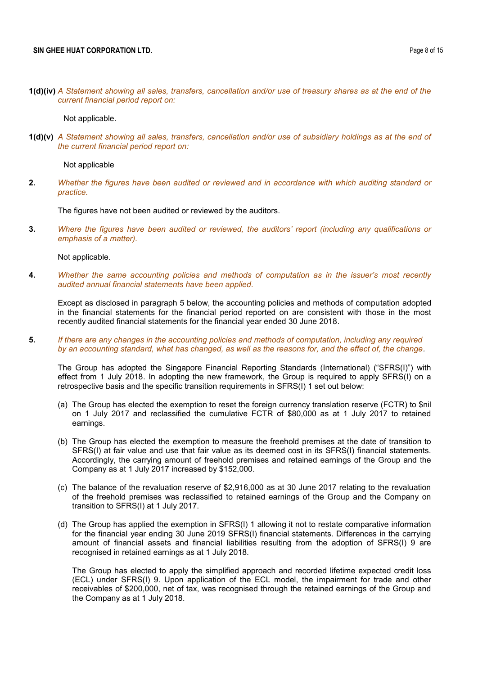**1(d)(iv)** *A Statement showing all sales, transfers, cancellation and/or use of treasury shares as at the end of the current financial period report on:* 

Not applicable.

**1(d)(v)** *A Statement showing all sales, transfers, cancellation and/or use of subsidiary holdings as at the end of the current financial period report on:* 

Not applicable

**2.** *Whether the figures have been audited or reviewed and in accordance with which auditing standard or practice.*

The figures have not been audited or reviewed by the auditors.

**3.** *Where the figures have been audited or reviewed, the auditors' report (including any qualifications or emphasis of a matter).*

Not applicable.

**4.** *Whether the same accounting policies and methods of computation as in the issuer's most recently audited annual financial statements have been applied.*

Except as disclosed in paragraph 5 below, the accounting policies and methods of computation adopted in the financial statements for the financial period reported on are consistent with those in the most recently audited financial statements for the financial year ended 30 June 2018.

**5.** *If there are any changes in the accounting policies and methods of computation, including any required by an accounting standard, what has changed, as well as the reasons for, and the effect of, the change.*

The Group has adopted the Singapore Financial Reporting Standards (International) ("SFRS(I)") with effect from 1 July 2018. In adopting the new framework, the Group is required to apply SFRS(I) on a retrospective basis and the specific transition requirements in SFRS(I) 1 set out below:

- (a) The Group has elected the exemption to reset the foreign currency translation reserve (FCTR) to \$nil on 1 July 2017 and reclassified the cumulative FCTR of \$80,000 as at 1 July 2017 to retained earnings.
- (b) The Group has elected the exemption to measure the freehold premises at the date of transition to SFRS(I) at fair value and use that fair value as its deemed cost in its SFRS(I) financial statements. Accordingly, the carrying amount of freehold premises and retained earnings of the Group and the Company as at 1 July 2017 increased by \$152,000.
- (c) The balance of the revaluation reserve of \$2,916,000 as at 30 June 2017 relating to the revaluation of the freehold premises was reclassified to retained earnings of the Group and the Company on transition to SFRS(I) at 1 July 2017.
- (d) The Group has applied the exemption in SFRS(I) 1 allowing it not to restate comparative information for the financial year ending 30 June 2019 SFRS(I) financial statements. Differences in the carrying amount of financial assets and financial liabilities resulting from the adoption of SFRS(I) 9 are recognised in retained earnings as at 1 July 2018.

The Group has elected to apply the simplified approach and recorded lifetime expected credit loss (ECL) under SFRS(I) 9. Upon application of the ECL model, the impairment for trade and other receivables of \$200,000, net of tax, was recognised through the retained earnings of the Group and the Company as at 1 July 2018.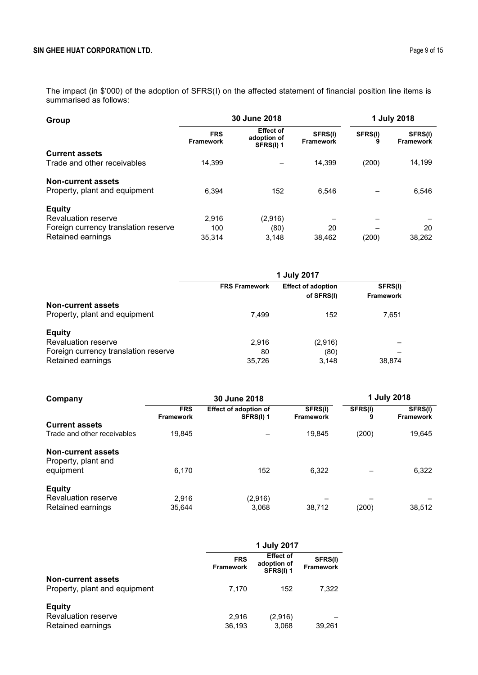The impact (in \$'000) of the adoption of SFRS(I) on the affected statement of financial position line items is summarised as follows:

| Group                                                      |                                | 30 June 2018                                 |                             |              | 1 July 2018                 |  |
|------------------------------------------------------------|--------------------------------|----------------------------------------------|-----------------------------|--------------|-----------------------------|--|
|                                                            | <b>FRS</b><br><b>Framework</b> | <b>Effect of</b><br>adoption of<br>SFRS(I) 1 | SFRS(I)<br><b>Framework</b> | SFRS(I)<br>9 | SFRS(I)<br><b>Framework</b> |  |
| <b>Current assets</b>                                      |                                |                                              |                             |              |                             |  |
| Trade and other receivables                                | 14.399                         |                                              | 14.399                      | (200)        | 14,199                      |  |
| <b>Non-current assets</b><br>Property, plant and equipment | 6.394                          | 152                                          | 6.546                       |              | 6,546                       |  |
| <b>Equity</b>                                              |                                |                                              |                             |              |                             |  |
| <b>Revaluation reserve</b>                                 | 2.916                          | (2,916)                                      |                             |              |                             |  |
| Foreign currency translation reserve                       | 100                            | (80)                                         | 20                          |              | 20                          |  |
| Retained earnings                                          | 35.314                         | 3.148                                        | 38,462                      | (200)        | 38,262                      |  |

|                                                                                                          | 1 July 2017           |                                         |                             |  |  |
|----------------------------------------------------------------------------------------------------------|-----------------------|-----------------------------------------|-----------------------------|--|--|
|                                                                                                          | <b>FRS Framework</b>  | <b>Effect of adoption</b><br>of SFRS(I) | SFRS(I)<br><b>Framework</b> |  |  |
| <b>Non-current assets</b><br>Property, plant and equipment                                               | 7,499                 | 152                                     | 7,651                       |  |  |
| <b>Equity</b><br><b>Revaluation reserve</b><br>Foreign currency translation reserve<br>Retained earnings | 2.916<br>80<br>35,726 | (2,916)<br>(80)<br>3,148                | 38.874                      |  |  |

| Company                                          | 30 June 2018                   |                                           |                             | 1 July 2018  |                             |
|--------------------------------------------------|--------------------------------|-------------------------------------------|-----------------------------|--------------|-----------------------------|
|                                                  | <b>FRS</b><br><b>Framework</b> | <b>Effect of adoption of</b><br>SFRS(I) 1 | SFRS(I)<br><b>Framework</b> | SFRS(I)<br>9 | SFRS(I)<br><b>Framework</b> |
| <b>Current assets</b>                            |                                |                                           |                             |              |                             |
| Trade and other receivables                      | 19,845                         |                                           | 19,845                      | (200)        | 19,645                      |
| <b>Non-current assets</b><br>Property, plant and |                                |                                           |                             |              |                             |
| equipment                                        | 6.170                          | 152                                       | 6.322                       |              | 6,322                       |
| <b>Equity</b>                                    |                                |                                           |                             |              |                             |
| <b>Revaluation reserve</b>                       | 2,916                          | (2,916)                                   |                             |              |                             |
| Retained earnings                                | 35.644                         | 3.068                                     | 38.712                      | (200)        | 38,512                      |

|                                                                  | 1 July 2017                    |                                              |                             |
|------------------------------------------------------------------|--------------------------------|----------------------------------------------|-----------------------------|
|                                                                  | <b>FRS</b><br><b>Framework</b> | <b>Effect of</b><br>adoption of<br>SFRS(I) 1 | SFRS(I)<br><b>Framework</b> |
| Non-current assets<br>Property, plant and equipment              | 7.170                          | 152                                          | 7.322                       |
| <b>Equity</b><br><b>Revaluation reserve</b><br>Retained earnings | 2.916<br>36,193                | (2,916)<br>3,068                             | 39.261                      |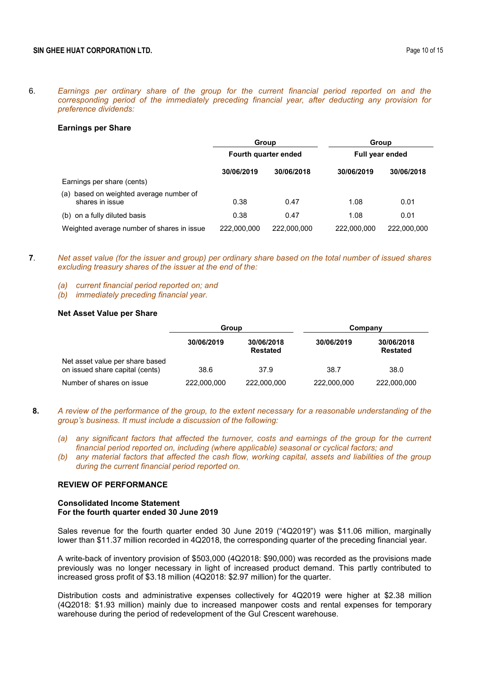#### **Earnings per Share**

|                                                               | Group<br>Fourth quarter ended |             | Group<br><b>Full year ended</b> |             |
|---------------------------------------------------------------|-------------------------------|-------------|---------------------------------|-------------|
|                                                               |                               |             |                                 |             |
|                                                               | 30/06/2019                    | 30/06/2018  | 30/06/2019                      | 30/06/2018  |
| Earnings per share (cents)                                    |                               |             |                                 |             |
| based on weighted average number of<br>(a)<br>shares in issue | 0.38                          | 0.47        | 1.08                            | 0.01        |
| (b) on a fully diluted basis                                  | 0.38                          | 0.47        | 1.08                            | 0.01        |
| Weighted average number of shares in issue                    | 222,000,000                   | 222,000,000 | 222.000.000                     | 222.000.000 |

- **7**. *Net asset value (for the issuer and group) per ordinary share based on the total number of issued shares excluding treasury shares of the issuer at the end of the:*
	- *(a) current financial period reported on; and*
	- *(b) immediately preceding financial year.*

## **Net Asset Value per Share**

|                                                                    | Group       |                               | Company     |                               |
|--------------------------------------------------------------------|-------------|-------------------------------|-------------|-------------------------------|
|                                                                    | 30/06/2019  | 30/06/2018<br><b>Restated</b> | 30/06/2019  | 30/06/2018<br><b>Restated</b> |
| Net asset value per share based<br>on issued share capital (cents) | 38.6        | 37.9                          | 38.7        | 38.0                          |
| Number of shares on issue                                          | 222,000,000 | 222,000,000                   | 222,000,000 | 222,000,000                   |

- **8.** *A review of the performance of the group, to the extent necessary for a reasonable understanding of the group's business. It must include a discussion of the following:*
	- *(a) any significant factors that affected the turnover, costs and earnings of the group for the current financial period reported on, including (where applicable) seasonal or cyclical factors; and*
	- *(b) any material factors that affected the cash flow, working capital, assets and liabilities of the group during the current financial period reported on.*

### **REVIEW OF PERFORMANCE**

### **Consolidated Income Statement For the fourth quarter ended 30 June 2019**

Sales revenue for the fourth quarter ended 30 June 2019 ("4Q2019") was \$11.06 million, marginally lower than \$11.37 million recorded in 4Q2018, the corresponding quarter of the preceding financial year.

A write-back of inventory provision of \$503,000 (4Q2018: \$90,000) was recorded as the provisions made previously was no longer necessary in light of increased product demand. This partly contributed to increased gross profit of \$3.18 million (4Q2018: \$2.97 million) for the quarter.

Distribution costs and administrative expenses collectively for 4Q2019 were higher at \$2.38 million (4Q2018: \$1.93 million) mainly due to increased manpower costs and rental expenses for temporary warehouse during the period of redevelopment of the Gul Crescent warehouse.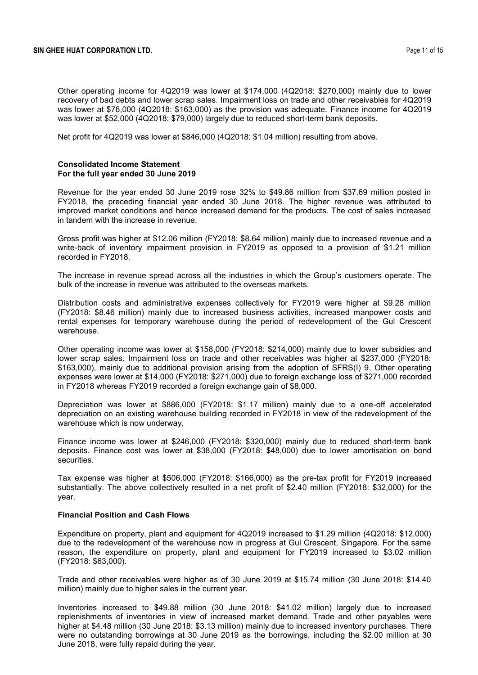Other operating income for 4Q2019 was lower at \$174,000 (4Q2018: \$270,000) mainly due to lower recovery of bad debts and lower scrap sales. Impairment loss on trade and other receivables for 4Q2019 was lower at \$76,000 (4Q2018: \$163,000) as the provision was adequate. Finance income for 4Q2019 was lower at \$52,000 (4Q2018: \$79,000) largely due to reduced short-term bank deposits.

Net profit for 4Q2019 was lower at \$846,000 (4Q2018: \$1.04 million) resulting from above.

### **Consolidated Income Statement For the full year ended 30 June 2019**

Revenue for the year ended 30 June 2019 rose 32% to \$49.86 million from \$37.69 million posted in FY2018, the preceding financial year ended 30 June 2018. The higher revenue was attributed to improved market conditions and hence increased demand for the products. The cost of sales increased in tandem with the increase in revenue.

Gross profit was higher at \$12.06 million (FY2018: \$8.64 million) mainly due to increased revenue and a write-back of inventory impairment provision in FY2019 as opposed to a provision of \$1.21 million recorded in FY2018.

The increase in revenue spread across all the industries in which the Group's customers operate. The bulk of the increase in revenue was attributed to the overseas markets.

Distribution costs and administrative expenses collectively for FY2019 were higher at \$9.28 million (FY2018: \$8.46 million) mainly due to increased business activities, increased manpower costs and rental expenses for temporary warehouse during the period of redevelopment of the Gul Crescent warehouse.

Other operating income was lower at \$158,000 (FY2018: \$214,000) mainly due to lower subsidies and lower scrap sales. Impairment loss on trade and other receivables was higher at \$237,000 (FY2018: \$163,000), mainly due to additional provision arising from the adoption of SFRS(I) 9. Other operating expenses were lower at \$14,000 (FY2018: \$271,000) due to foreign exchange loss of \$271,000 recorded in FY2018 whereas FY2019 recorded a foreign exchange gain of \$8,000.

Depreciation was lower at \$886,000 (FY2018: \$1.17 million) mainly due to a one-off accelerated depreciation on an existing warehouse building recorded in FY2018 in view of the redevelopment of the warehouse which is now underway.

Finance income was lower at \$246,000 (FY2018: \$320,000) mainly due to reduced short-term bank deposits. Finance cost was lower at \$38,000 (FY2018: \$48,000) due to lower amortisation on bond securities.

Tax expense was higher at \$506,000 (FY2018: \$166,000) as the pre-tax profit for FY2019 increased substantially. The above collectively resulted in a net profit of \$2.40 million (FY2018: \$32,000) for the year.

## **Financial Position and Cash Flows**

Expenditure on property, plant and equipment for 4Q2019 increased to \$1.29 million (4Q2018: \$12,000) due to the redevelopment of the warehouse now in progress at Gul Crescent, Singapore. For the same reason, the expenditure on property, plant and equipment for FY2019 increased to \$3.02 million (FY2018: \$63,000).

Trade and other receivables were higher as of 30 June 2019 at \$15.74 million (30 June 2018: \$14.40 million) mainly due to higher sales in the current year.

Inventories increased to \$49.88 million (30 June 2018: \$41.02 million) largely due to increased replenishments of inventories in view of increased market demand. Trade and other payables were higher at \$4.48 million (30 June 2018: \$3.13 million) mainly due to increased inventory purchases. There were no outstanding borrowings at 30 June 2019 as the borrowings, including the \$2.00 million at 30 June 2018, were fully repaid during the year.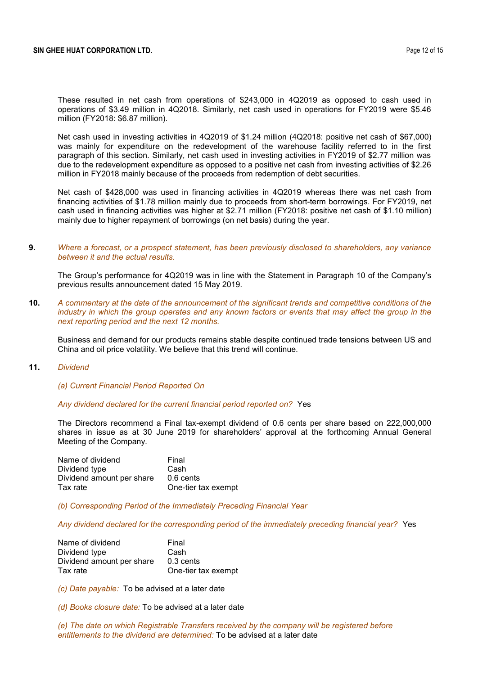These resulted in net cash from operations of \$243,000 in 4Q2019 as opposed to cash used in operations of \$3.49 million in 4Q2018. Similarly, net cash used in operations for FY2019 were \$5.46 million (FY2018: \$6.87 million).

Net cash used in investing activities in 4Q2019 of \$1.24 million (4Q2018: positive net cash of \$67,000) was mainly for expenditure on the redevelopment of the warehouse facility referred to in the first paragraph of this section. Similarly, net cash used in investing activities in FY2019 of \$2.77 million was due to the redevelopment expenditure as opposed to a positive net cash from investing activities of \$2.26 million in FY2018 mainly because of the proceeds from redemption of debt securities.

Net cash of \$428,000 was used in financing activities in 4Q2019 whereas there was net cash from financing activities of \$1.78 million mainly due to proceeds from short-term borrowings. For FY2019, net cash used in financing activities was higher at \$2.71 million (FY2018: positive net cash of \$1.10 million) mainly due to higher repayment of borrowings (on net basis) during the year.

### **9.** *Where a forecast, or a prospect statement, has been previously disclosed to shareholders, any variance between it and the actual results.*

The Group's performance for 4Q2019 was in line with the Statement in Paragraph 10 of the Company's previous results announcement dated 15 May 2019.

**10.** *A commentary at the date of the announcement of the significant trends and competitive conditions of the industry in which the group operates and any known factors or events that may affect the group in the next reporting period and the next 12 months.*

Business and demand for our products remains stable despite continued trade tensions between US and China and oil price volatility. We believe that this trend will continue.

**11.** *Dividend*

### *(a) Current Financial Period Reported On*

#### *Any dividend declared for the current financial period reported on?* Yes

The Directors recommend a Final tax-exempt dividend of 0.6 cents per share based on 222,000,000 shares in issue as at 30 June 2019 for shareholders' approval at the forthcoming Annual General Meeting of the Company.

| Name of dividend          | Final               |
|---------------------------|---------------------|
| Dividend type             | Cash                |
| Dividend amount per share | 0.6 cents           |
| Tax rate                  | One-tier tax exempt |

*(b) Corresponding Period of the Immediately Preceding Financial Year*

*Any dividend declared for the corresponding period of the immediately preceding financial year?* Yes

| Name of dividend          | Final               |
|---------------------------|---------------------|
| Dividend type             | Cash                |
| Dividend amount per share | 0.3 cents           |
| Tax rate                  | One-tier tax exempt |

*(c) Date payable:* To be advised at a later date

*(d) Books closure date:* To be advised at a later date

*(e) The date on which Registrable Transfers received by the company will be registered before entitlements to the dividend are determined:* To be advised at a later date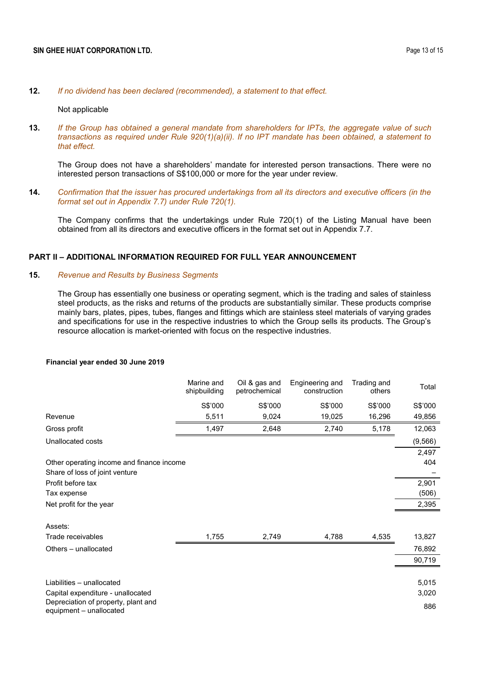#### **12.** *If no dividend has been declared (recommended), a statement to that effect.*

### Not applicable

**13.** *If the Group has obtained a general mandate from shareholders for IPTs, the aggregate value of such transactions as required under Rule 920(1)(a)(ii). If no IPT mandate has been obtained, a statement to that effect.*

The Group does not have a shareholders' mandate for interested person transactions. There were no interested person transactions of S\$100,000 or more for the year under review.

**14.** *Confirmation that the issuer has procured undertakings from all its directors and executive officers (in the format set out in Appendix 7.7) under Rule 720(1).*

The Company confirms that the undertakings under Rule 720(1) of the Listing Manual have been obtained from all its directors and executive officers in the format set out in Appendix 7.7.

### **PART II – ADDITIONAL INFORMATION REQUIRED FOR FULL YEAR ANNOUNCEMENT**

### **15.** *Revenue and Results by Business Segments*

The Group has essentially one business or operating segment, which is the trading and sales of stainless steel products, as the risks and returns of the products are substantially similar. These products comprise mainly bars, plates, pipes, tubes, flanges and fittings which are stainless steel materials of varying grades and specifications for use in the respective industries to which the Group sells its products. The Group's resource allocation is market-oriented with focus on the respective industries.

#### **Financial year ended 30 June 2019**

|                                                                | Marine and<br>shipbuilding | Oil & gas and<br>petrochemical | Engineering and<br>construction | Trading and<br>others | Total    |
|----------------------------------------------------------------|----------------------------|--------------------------------|---------------------------------|-----------------------|----------|
|                                                                | S\$'000                    | S\$'000                        | S\$'000                         | S\$'000               | S\$'000  |
| Revenue                                                        | 5,511                      | 9,024                          | 19,025                          | 16,296                | 49,856   |
| Gross profit                                                   | 1,497                      | 2,648                          | 2,740                           | 5,178                 | 12,063   |
| Unallocated costs                                              |                            |                                |                                 |                       | (9, 566) |
|                                                                |                            |                                |                                 |                       | 2,497    |
| Other operating income and finance income                      |                            |                                |                                 |                       | 404      |
| Share of loss of joint venture                                 |                            |                                |                                 |                       |          |
| Profit before tax                                              |                            |                                |                                 |                       | 2,901    |
| Tax expense                                                    |                            |                                |                                 |                       | (506)    |
| Net profit for the year                                        |                            |                                |                                 |                       | 2,395    |
| Assets:                                                        |                            |                                |                                 |                       |          |
| Trade receivables                                              | 1,755                      | 2,749                          | 4,788                           | 4,535                 | 13,827   |
| Others - unallocated                                           |                            |                                |                                 |                       | 76,892   |
|                                                                |                            |                                |                                 |                       | 90,719   |
|                                                                |                            |                                |                                 |                       |          |
| Liabilities - unallocated                                      |                            |                                |                                 |                       | 5,015    |
| Capital expenditure - unallocated                              |                            |                                |                                 |                       | 3,020    |
| Depreciation of property, plant and<br>equipment - unallocated |                            |                                |                                 |                       | 886      |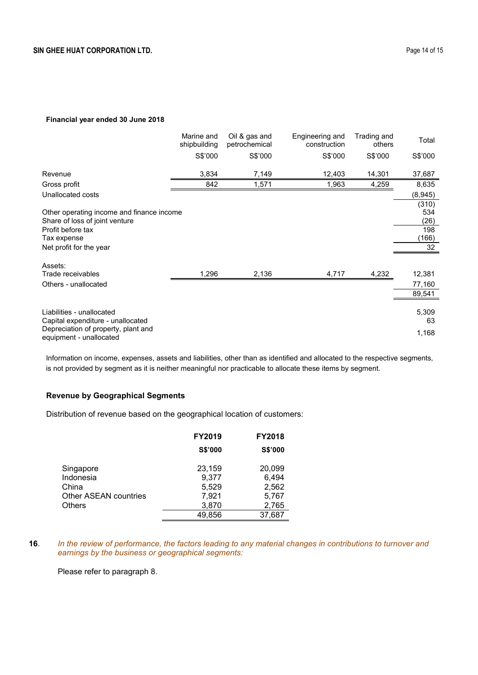### **Financial year ended 30 June 2018**

|                                                                                                                                            | Marine and<br>shipbuilding | Oil & gas and<br>petrochemical | Engineering and<br>construction | Trading and<br>others | Total                                      |
|--------------------------------------------------------------------------------------------------------------------------------------------|----------------------------|--------------------------------|---------------------------------|-----------------------|--------------------------------------------|
|                                                                                                                                            | S\$'000                    | S\$'000                        | S\$'000                         | S\$'000               | S\$'000                                    |
| Revenue                                                                                                                                    | 3,834                      | 7,149                          | 12,403                          | 14,301                | 37,687                                     |
| Gross profit                                                                                                                               | 842                        | 1,571                          | 1,963                           | 4,259                 | 8,635                                      |
| Unallocated costs                                                                                                                          |                            |                                |                                 |                       | (8,945)                                    |
| Other operating income and finance income<br>Share of loss of joint venture<br>Profit before tax<br>Tax expense<br>Net profit for the year |                            |                                |                                 |                       | (310)<br>534<br>(26)<br>198<br>(166)<br>32 |
| Assets:<br>Trade receivables                                                                                                               | 1,296                      |                                |                                 |                       |                                            |
| Others - unallocated                                                                                                                       |                            | 2,136                          | 4,717                           | 4,232                 | 12,381                                     |
|                                                                                                                                            |                            |                                |                                 |                       | 77,160<br>89,541                           |
|                                                                                                                                            |                            |                                |                                 |                       |                                            |
| Liabilities - unallocated<br>Capital expenditure - unallocated                                                                             |                            |                                |                                 |                       | 5,309<br>63                                |
| Depreciation of property, plant and<br>equipment - unallocated                                                                             |                            |                                |                                 |                       | 1,168                                      |

Information on income, expenses, assets and liabilities, other than as identified and allocated to the respective segments, is not provided by segment as it is neither meaningful nor practicable to allocate these items by segment.

# **Revenue by Geographical Segments**

Distribution of revenue based on the geographical location of customers:

|                                                          | <b>FY2019</b>                     | <b>FY2018</b>                     |
|----------------------------------------------------------|-----------------------------------|-----------------------------------|
|                                                          | <b>S\$'000</b>                    | S\$'000                           |
| Singapore<br>Indonesia<br>China<br>Other ASEAN countries | 23,159<br>9.377<br>5,529<br>7,921 | 20,099<br>6,494<br>2,562<br>5,767 |
| <b>Others</b>                                            | 3,870                             | 2,765                             |
|                                                          | 49,856                            | 37,687                            |

**16**. *In the review of performance, the factors leading to any material changes in contributions to turnover and earnings by the business or geographical segments:*

Please refer to paragraph 8.